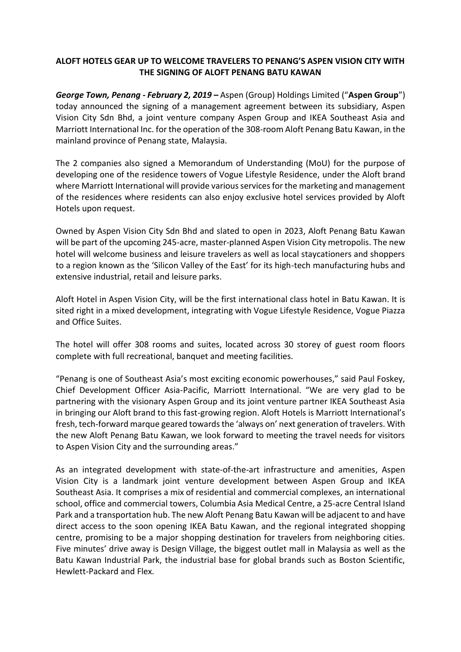# **ALOFT HOTELS GEAR UP TO WELCOME TRAVELERS TO PENANG'S ASPEN VISION CITY WITH THE SIGNING OF ALOFT PENANG BATU KAWAN**

*George Town, Penang - February 2, 2019 –* Aspen (Group) Holdings Limited ("**Aspen Group**") today announced the signing of a management agreement between its subsidiary, Aspen Vision City Sdn Bhd, a joint venture company Aspen Group and IKEA Southeast Asia and Marriott International Inc. for the operation of the 308-room Aloft Penang Batu Kawan, in the mainland province of Penang state, Malaysia.

The 2 companies also signed a Memorandum of Understanding (MoU) for the purpose of developing one of the residence towers of Vogue Lifestyle Residence, under the Aloft brand where Marriott International will provide various services for the marketing and management of the residences where residents can also enjoy exclusive hotel services provided by Aloft Hotels upon request.

Owned by Aspen Vision City Sdn Bhd and slated to open in 2023, Aloft Penang Batu Kawan will be part of the upcoming 245-acre, master-planned Aspen Vision City metropolis. The new hotel will welcome business and leisure travelers as well as local staycationers and shoppers to a region known as the 'Silicon Valley of the East' for its high-tech manufacturing hubs and extensive industrial, retail and leisure parks.

Aloft Hotel in Aspen Vision City, will be the first international class hotel in Batu Kawan. It is sited right in a mixed development, integrating with Vogue Lifestyle Residence, Vogue Piazza and Office Suites.

The hotel will offer 308 rooms and suites, located across 30 storey of guest room floors complete with full recreational, banquet and meeting facilities.

"Penang is one of Southeast Asia's most exciting economic powerhouses," said Paul Foskey, Chief Development Officer Asia-Pacific, Marriott International. "We are very glad to be partnering with the visionary Aspen Group and its joint venture partner IKEA Southeast Asia in bringing our Aloft brand to this fast-growing region. Aloft Hotels is Marriott International's fresh, tech-forward marque geared towards the 'always on' next generation of travelers. With the new Aloft Penang Batu Kawan, we look forward to meeting the travel needs for visitors to Aspen Vision City and the surrounding areas."

As an integrated development with state-of-the-art infrastructure and amenities, Aspen Vision City is a landmark joint venture development between Aspen Group and IKEA Southeast Asia. It comprises a mix of residential and commercial complexes, an international school, office and commercial towers, Columbia Asia Medical Centre, a 25-acre Central Island Park and a transportation hub. The new Aloft Penang Batu Kawan will be adjacent to and have direct access to the soon opening IKEA Batu Kawan, and the regional integrated shopping centre, promising to be a major shopping destination for travelers from neighboring cities. Five minutes' drive away is Design Village, the biggest outlet mall in Malaysia as well as the Batu Kawan Industrial Park, the industrial base for global brands such as Boston Scientific, Hewlett-Packard and Flex.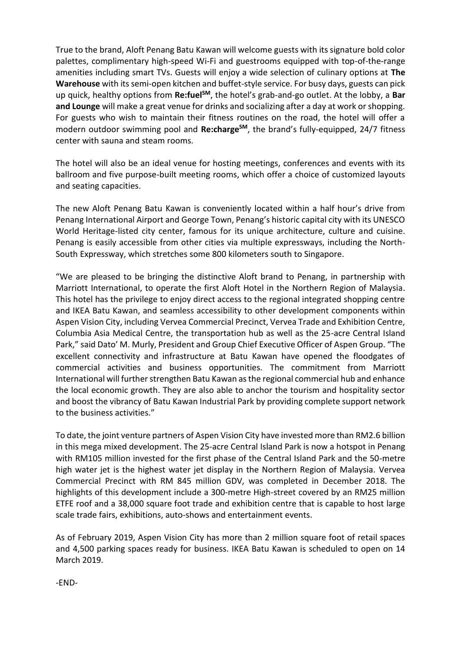True to the brand, Aloft Penang Batu Kawan will welcome guests with its signature bold color palettes, complimentary high-speed Wi-Fi and guestrooms equipped with top-of-the-range amenities including smart TVs. Guests will enjoy a wide selection of culinary options at **The Warehouse** with its semi-open kitchen and buffet-style service. For busy days, guests can pick up quick, healthy options from **Re:fuelSM**, the hotel's grab-and-go outlet. At the lobby, a **Bar and Lounge** will make a great venue for drinks and socializing after a day at work or shopping. For guests who wish to maintain their fitness routines on the road, the hotel will offer a modern outdoor swimming pool and **Re:chargeSM**, the brand's fully-equipped, 24/7 fitness center with sauna and steam rooms.

The hotel will also be an ideal venue for hosting meetings, conferences and events with its ballroom and five purpose-built meeting rooms, which offer a choice of customized layouts and seating capacities.

The new Aloft Penang Batu Kawan is conveniently located within a half hour's drive from Penang International Airport and George Town, Penang's historic capital city with its UNESCO World Heritage-listed city center, famous for its unique architecture, culture and cuisine. Penang is easily accessible from other cities via multiple expressways, including the North-South Expressway, which stretches some 800 kilometers south to Singapore.

"We are pleased to be bringing the distinctive Aloft brand to Penang, in partnership with Marriott International, to operate the first Aloft Hotel in the Northern Region of Malaysia. This hotel has the privilege to enjoy direct access to the regional integrated shopping centre and IKEA Batu Kawan, and seamless accessibility to other development components within Aspen Vision City, including Vervea Commercial Precinct, Vervea Trade and Exhibition Centre, Columbia Asia Medical Centre, the transportation hub as well as the 25-acre Central Island Park," said Dato' M. Murly, President and Group Chief Executive Officer of Aspen Group. "The excellent connectivity and infrastructure at Batu Kawan have opened the floodgates of commercial activities and business opportunities. The commitment from Marriott International will further strengthen Batu Kawan as the regional commercial hub and enhance the local economic growth. They are also able to anchor the tourism and hospitality sector and boost the vibrancy of Batu Kawan Industrial Park by providing complete support network to the business activities."

To date, the joint venture partners of Aspen Vision City have invested more than RM2.6 billion in this mega mixed development. The 25-acre Central Island Park is now a hotspot in Penang with RM105 million invested for the first phase of the Central Island Park and the 50-metre high water jet is the highest water jet display in the Northern Region of Malaysia. Vervea Commercial Precinct with RM 845 million GDV, was completed in December 2018. The highlights of this development include a 300-metre High-street covered by an RM25 million ETFE roof and a 38,000 square foot trade and exhibition centre that is capable to host large scale trade fairs, exhibitions, auto-shows and entertainment events.

As of February 2019, Aspen Vision City has more than 2 million square foot of retail spaces and 4,500 parking spaces ready for business. IKEA Batu Kawan is scheduled to open on 14 March 2019.

-END-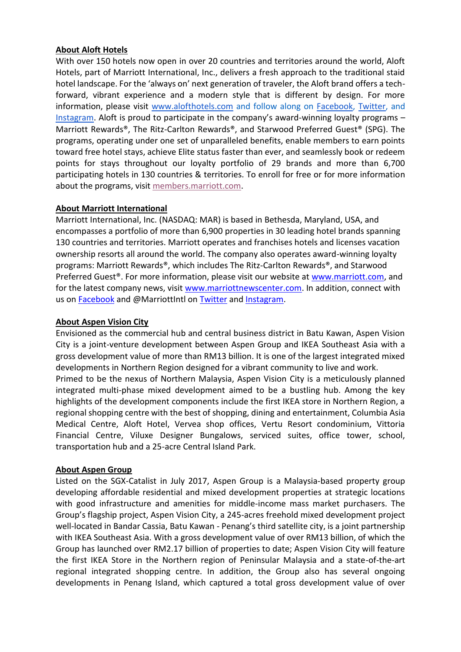## **About Aloft Hotels**

With over 150 hotels now open in over 20 countries and territories around the world, Aloft Hotels, part of Marriott International, Inc., delivers a fresh approach to the traditional staid hotel landscape. For the 'always on' next generation of traveler, the Aloft brand offers a techforward, vibrant experience and a modern style that is different by design. For more information, please visit [www.alofthotels.com](http://www.alofthotels.com/) and follow along on [Facebook,](https://www.facebook.com/alofthotels/) [Twitter,](https://twitter.com/AloftHotels) and [Instagram.](https://www.instagram.com/alofthotels/) Aloft is proud to participate in the company's award-winning loyalty programs – Marriott Rewards®, The Ritz-Carlton Rewards®, and Starwood Preferred Guest® (SPG). The programs, operating under one set of unparalleled benefits, enable members to earn points toward free hotel stays, achieve Elite status faster than ever, and seamlessly book or redeem points for stays throughout our loyalty portfolio of 29 brands and more than 6,700 participating hotels in 130 countries & territories. To enroll for free or for more information about the programs, visit [members.marriott.com.](http://members.marriott.com/)

## **About Marriott International**

Marriott International, Inc. (NASDAQ: MAR) is based in Bethesda, Maryland, USA, and encompasses a portfolio of more than 6,900 properties in 30 leading hotel brands spanning 130 countries and territories. Marriott operates and franchises hotels and licenses vacation ownership resorts all around the world. The company also operates award-winning loyalty programs: Marriott Rewards®, which includes The Ritz-Carlton Rewards®, and Starwood Preferred Guest®. For more information, please visit our website at [www.marriott.com,](http://www.marriott.com/) and for the latest company news, visit [www.marriottnewscenter.com.](http://www.marriottnewscenter.com/) In addition, connect with us on [Facebook](https://www.facebook.com/marriottinternational/) and @MarriottIntl on [Twitter](https://twitter.com/MarriottIntl) and [Instagram.](https://www.instagram.com/marriottintl/)

## **About Aspen Vision City**

Envisioned as the commercial hub and central business district in Batu Kawan, Aspen Vision City is a joint-venture development between Aspen Group and IKEA Southeast Asia with a gross development value of more than RM13 billion. It is one of the largest integrated mixed developments in Northern Region designed for a vibrant community to live and work. Primed to be the nexus of Northern Malaysia, Aspen Vision City is a meticulously planned integrated multi-phase mixed development aimed to be a bustling hub. Among the key highlights of the development components include the first IKEA store in Northern Region, a regional shopping centre with the best of shopping, dining and entertainment, Columbia Asia Medical Centre, Aloft Hotel, Vervea shop offices, Vertu Resort condominium, Vittoria Financial Centre, Viluxe Designer Bungalows, serviced suites, office tower, school, transportation hub and a 25-acre Central Island Park.

#### **About Aspen Group**

Listed on the SGX-Catalist in July 2017, Aspen Group is a Malaysia-based property group developing affordable residential and mixed development properties at strategic locations with good infrastructure and amenities for middle-income mass market purchasers. The Group's flagship project, Aspen Vision City, a 245-acres freehold mixed development project well-located in Bandar Cassia, Batu Kawan - Penang's third satellite city, is a joint partnership with IKEA Southeast Asia. With a gross development value of over RM13 billion, of which the Group has launched over RM2.17 billion of properties to date; Aspen Vision City will feature the first IKEA Store in the Northern region of Peninsular Malaysia and a state-of-the-art regional integrated shopping centre. In addition, the Group also has several ongoing developments in Penang Island, which captured a total gross development value of over